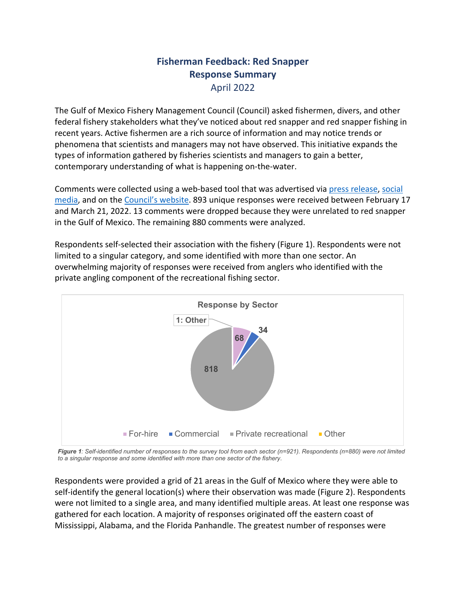## **Fisherman Feedback: Red Snapper Response Summary** April 2022

The Gulf of Mexico Fishery Management Council (Council) asked fishermen, divers, and other federal fishery stakeholders what they've noticed about red snapper and red snapper fishing in recent years. Active fishermen are a rich source of information and may notice trends or phenomena that scientists and managers may not have observed. This initiative expands the types of information gathered by fisheries scientists and managers to gain a better, contemporary understanding of what is happening on-the-water.

Comments were collected using a web-based tool that was advertised via [press release,](https://gulfcouncil.org/press/2022/gulf-council-asks-fishermen-for-information-on-red-snapper/) [social](https://www.facebook.com/GulfCouncil/)  [media,](https://www.facebook.com/GulfCouncil/) and on the [Council's website.](https://gulfcouncil.org/fisheries-science/#1612797471561-f64fecad-7fab) 893 unique responses were received between February 17 and March 21, 2022. 13 comments were dropped because they were unrelated to red snapper in the Gulf of Mexico. The remaining 880 comments were analyzed.

Respondents self-selected their association with the fishery (Figure 1). Respondents were not limited to a singular category, and some identified with more than one sector. An overwhelming majority of responses were received from anglers who identified with the private angling component of the recreational fishing sector.



*Figure 1: Self-identified number of responses to the survey tool from each sector (n=921). Respondents (n=880) were not limited to a singular response and some identified with more than one sector of the fishery.*

Respondents were provided a grid of 21 areas in the Gulf of Mexico where they were able to self-identify the general location(s) where their observation was made (Figure 2). Respondents were not limited to a single area, and many identified multiple areas. At least one response was gathered for each location. A majority of responses originated off the eastern coast of Mississippi, Alabama, and the Florida Panhandle. The greatest number of responses were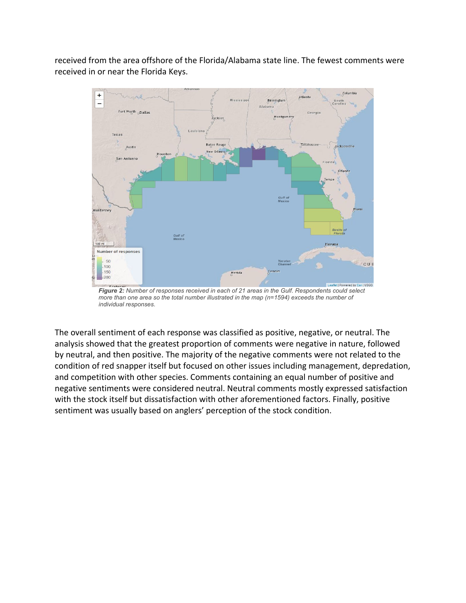received from the area offshore of the Florida/Alabama state line. The fewest comments were received in or near the Florida Keys.



*Figure 2: Number of responses received in each of 21 areas in the Gulf. Respondents could select more than one area so the total number illustrated in the map (n=1594) exceeds the number of individual responses.*

The overall sentiment of each response was classified as positive, negative, or neutral. The analysis showed that the greatest proportion of comments were negative in nature, followed by neutral, and then positive. The majority of the negative comments were not related to the condition of red snapper itself but focused on other issues including management, depredation, and competition with other species. Comments containing an equal number of positive and negative sentiments were considered neutral. Neutral comments mostly expressed satisfaction with the stock itself but dissatisfaction with other aforementioned factors. Finally, positive sentiment was usually based on anglers' perception of the stock condition.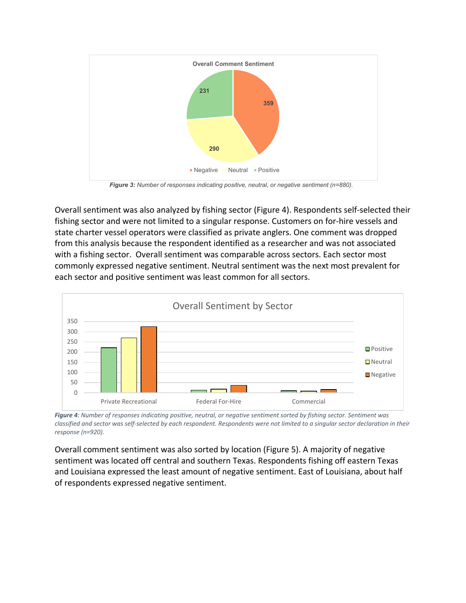

*Figure 3: Number of responses indicating positive, neutral, or negative sentiment (n=880).*

Overall sentiment was also analyzed by fishing sector (Figure 4). Respondents self-selected their fishing sector and were not limited to a singular response. Customers on for-hire vessels and state charter vessel operators were classified as private anglers. One comment was dropped from this analysis because the respondent identified as a researcher and was not associated with a fishing sector. Overall sentiment was comparable across sectors. Each sector most commonly expressed negative sentiment. Neutral sentiment was the next most prevalent for each sector and positive sentiment was least common for all sectors.



*Figure 4: Number of responses indicating positive, neutral, or negative sentiment sorted by fishing sector. Sentiment was classified and sector was self-selected by each respondent. Respondents were not limited to a singular sector declaration in their response (n=920).*

Overall comment sentiment was also sorted by location (Figure 5). A majority of negative sentiment was located off central and southern Texas. Respondents fishing off eastern Texas and Louisiana expressed the least amount of negative sentiment. East of Louisiana, about half of respondents expressed negative sentiment.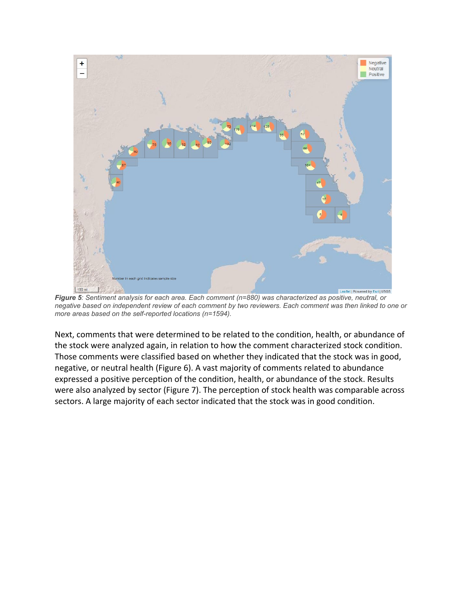

*Figure 5: Sentiment analysis for each area. Each comment (n=880) was characterized as positive, neutral, or negative based on independent review of each comment by two reviewers. Each comment was then linked to one or more areas based on the self-reported locations (n=1594).*

Next, comments that were determined to be related to the condition, health, or abundance of the stock were analyzed again, in relation to how the comment characterized stock condition. Those comments were classified based on whether they indicated that the stock was in good, negative, or neutral health (Figure 6). A vast majority of comments related to abundance expressed a positive perception of the condition, health, or abundance of the stock. Results were also analyzed by sector (Figure 7). The perception of stock health was comparable across sectors. A large majority of each sector indicated that the stock was in good condition.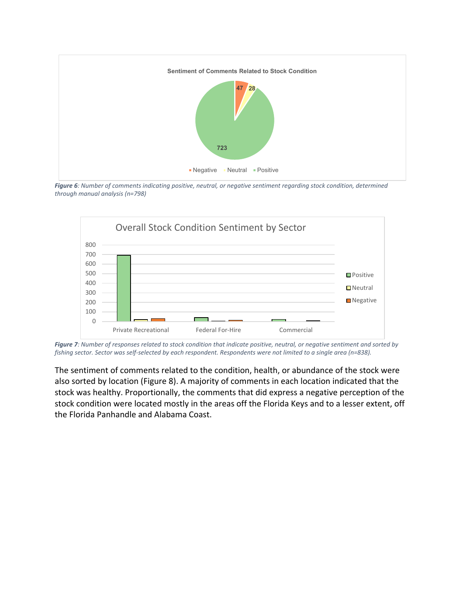

*Figure 6: Number of comments indicating positive, neutral, or negative sentiment regarding stock condition, determined through manual analysis (n=798)*



*Figure 7: Number of responses related to stock condition that indicate positive, neutral, or negative sentiment and sorted by fishing sector. Sector was self-selected by each respondent. Respondents were not limited to a single area (n=838).*

The sentiment of comments related to the condition, health, or abundance of the stock were also sorted by location (Figure 8). A majority of comments in each location indicated that the stock was healthy. Proportionally, the comments that did express a negative perception of the stock condition were located mostly in the areas off the Florida Keys and to a lesser extent, off the Florida Panhandle and Alabama Coast.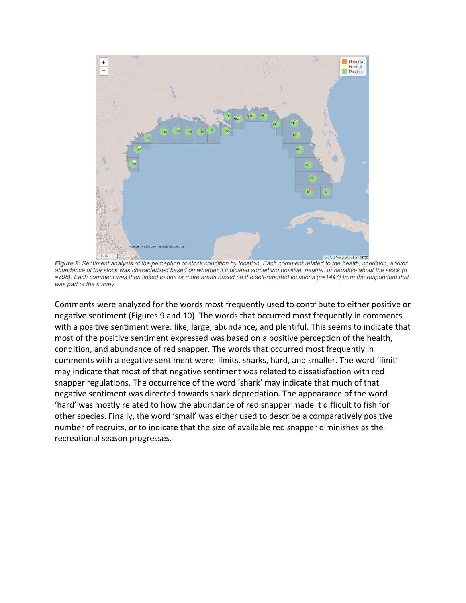

*Figure 8: Sentiment analysis of the perception of stock condition by location. Each comment related to the health, condition, and/or abundance of the stock was characterized based on whether it indicated something positive, neutral, or negative about the stock (n =798). Each comment was then linked to one or more areas based on the self-reported locations (n=1447) from the respondent that was part of the survey.*

Comments were analyzed for the words most frequently used to contribute to either positive or negative sentiment (Figures 9 and 10). The words that occurred most frequently in comments with a positive sentiment were: like, large, abundance, and plentiful. This seems to indicate that most of the positive sentiment expressed was based on a positive perception of the health, condition, and abundance of red snapper. The words that occurred most frequently in comments with a negative sentiment were: limits, sharks, hard, and smaller. The word 'limit' may indicate that most of that negative sentiment was related to dissatisfaction with red snapper regulations. The occurrence of the word 'shark' may indicate that much of that negative sentiment was directed towards shark depredation. The appearance of the word 'hard' was mostly related to how the abundance of red snapper made it difficult to fish for other species. Finally, the word 'small' was either used to describe a comparatively positive number of recruits, or to indicate that the size of available red snapper diminishes as the recreational season progresses.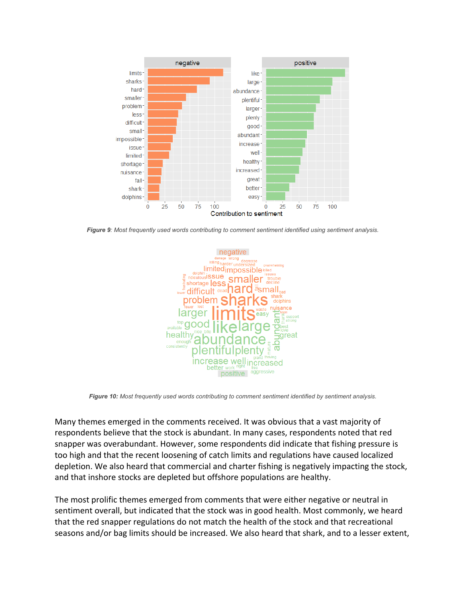

*Figure 9: Most frequently used words contributing to comment sentiment identified using sentiment analysis.*



*Figure 10: Most frequently used words contributing to comment sentiment identified by sentiment analysis.*

Many themes emerged in the comments received. It was obvious that a vast majority of respondents believe that the stock is abundant. In many cases, respondents noted that red snapper was overabundant. However, some respondents did indicate that fishing pressure is too high and that the recent loosening of catch limits and regulations have caused localized depletion. We also heard that commercial and charter fishing is negatively impacting the stock, and that inshore stocks are depleted but offshore populations are healthy.

The most prolific themes emerged from comments that were either negative or neutral in sentiment overall, but indicated that the stock was in good health. Most commonly, we heard that the red snapper regulations do not match the health of the stock and that recreational seasons and/or bag limits should be increased. We also heard that shark, and to a lesser extent,